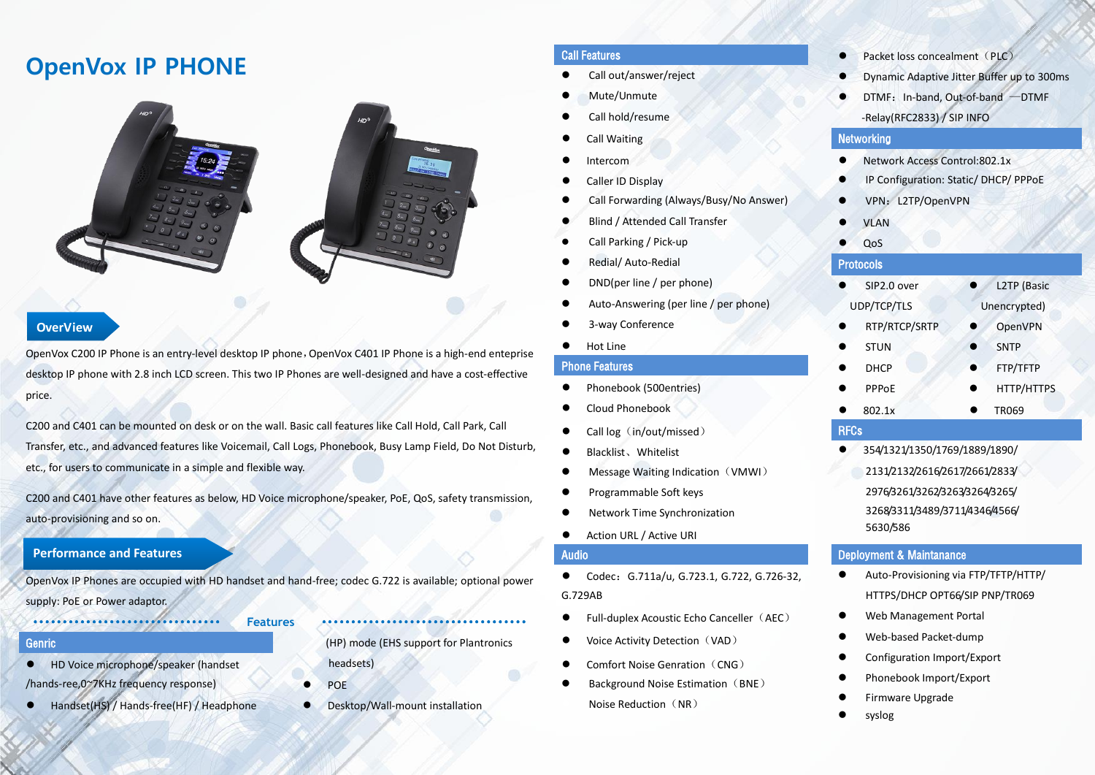# **OpenVox IP PHONE**



### **OverView**

OpenVox C200 IP Phone is an entry-level desktop IP phone, OpenVox C401 IP Phone is a high-end enteprise desktop IP phone with 2.8 inch LCD screen. This two IP Phones are well-designed and have a cost-effective price.

C200 and C401 can be mounted on desk or on the wall. Basic call features like Call Hold, Call Park, Call Transfer, etc., and advanced features like Voicemail, Call Logs, Phonebook, Busy Lamp Field, Do Not Disturb, etc., for users to communicate in a simple and flexible way.

C200 and C401 have other features as below, HD Voice microphone/speaker, PoE, QoS, safety transmission, auto-provisioning and so on.

## **Performance and Features**

OpenVox IP Phones are occupied with HD handset and hand-free; codec G.722 is available; optional power supply: PoE or Power adaptor.

### ································ **Features** ···································

- HD Voice microphone/speaker (handset /hands-ree,0~7KHz frequency response)
- Handset(HS) / Hands-free(HF) / Headphone

- ⚫ Call out/answer/reject
- ⚫ Mute/Unmute
- Call hold/resume
- Call Waiting
- 
- Caller ID Display
- ⚫ Call Forwarding (Always/Busy/No Answer)
- ⚫ Blind / Attended Call Transfer
- ⚫ Call Parking / Pick-up
- ⚫ Redial/ Auto-Redial
- ⚫ DND(per line / per phone)
- ⚫ Auto-Answering (per line / per phone)
- ⚫ 3-way Conference
- Hot Line

### Phone Features

- Phonebook (500entries)
- Cloud Phonebook
- Call log (in/out/missed)
- 
- Message Waiting Indication (VMWI)
- ⚫ Programmable Soft keys
- Network Time Synchronization
- Action URL / Active URI

- Codec: G.711a/u, G.723.1, G.722, G.726-32, G.729AB
- Full-duplex Acoustic Echo Canceller (AEC)
- Voice Activity Detection (VAD)
- Comfort Noise Genration (CNG)
- Background Noise Estimation (BNE) Noise Reduction (NR)
- Call Features Packet loss concealment(PLC)
	- Dynamic Adaptive Jitter Buffer up to 300ms
	- DTMF: In-band, Out-of-band –DTMF -Relay(RFC2833) / SIP INFO

### **Networking**

- Intercom Network Access Control:802.1x
	- IP Configuration: Static/ DHCP/ PPPoE
	- VPN: L2TP/OpenVPN
	- **VLAN**
	- QoS

### Protocols

| SIP2.0 over   | L2TP (Basic  |  |
|---------------|--------------|--|
| UDP/TCP/TLS   | Unencrypted) |  |
| RTP/RTCP/SRTP | OpenVPN      |  |
| <b>STUN</b>   | <b>SNTP</b>  |  |
| <b>DHCP</b>   | FTP/TFTP     |  |
| PPPoE         | HTTP/HTTPS   |  |
| 802.1x        | <b>TR069</b> |  |
| <b>RFCs</b>   |              |  |

- Blacklist、Whitelist 354/1321/1350/1769/1889/1890/ 2131/2132/2616/2617/2661/2833/
	- 2976/3261/3262/3263/3264/3265/ 3268/3311/3489/3711/4346/4566/ 5630/586

### Audio Deployment & Maintanance

- Auto-Provisioning via FTP/TFTP/HTTP/ HTTPS/DHCP OPT66/SIP PNP/TR069
- ⚫ Web Management Portal
- ⚫ Web-based Packet-dump
- Configuration Import/Export
- ⚫ Phonebook Import/Export
- ⚫ Firmware Upgrade
- ⚫ syslog

Genric (HP) mode (EHS support for Plantronics

- POE
- Desktop/Wall-mount installation

headsets)

- 
-